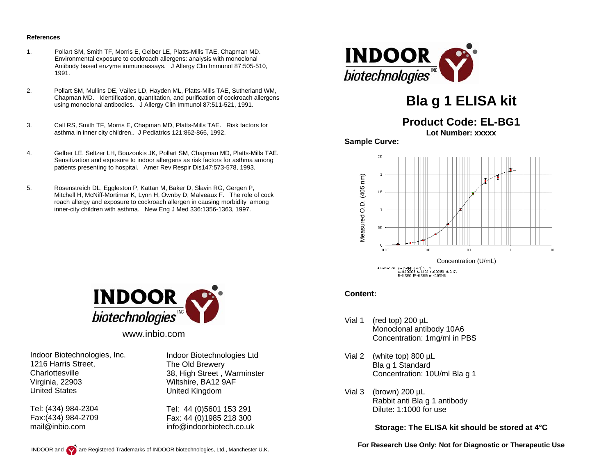#### **References**

- 1. Pollart SM, Smith TF, Morris E, Gelber LE, Platts-Mills TAE, Chapman MD. Environmental exposure to cockroach allergens: analysis with monoclonal Antibody based enzyme immunoassays. J Allergy Clin Immunol 87:505-510, 1991.
- 2. Pollart SM, Mullins DE, Vailes LD, Hayden ML, Platts-Mills TAE, Sutherland WM, Chapman MD. Identification, quantitation, and purification of cockroach allergens using monoclonal antibodies. J Allergy Clin Immunol 87:511-521, 1991.
- 3. Call RS, Smith TF, Morris E, Chapman MD, Platts-Mills TAE. Risk factors for asthma in inner city children.. J Pediatrics 121:862-866, 1992.
- 4. Gelber LE, Seltzer LH, Bouzoukis JK, Pollart SM, Chapman MD, Platts-Mills TAE. Sensitization and exposure to indoor allergens as risk factors for asthma among patients presenting to hospital. Amer Rev Respir Dis147:573-578, 1993.
- 5. Rosenstreich DL, Eggleston P, Kattan M, Baker D, Slavin RG, Gergen P, Mitchell H, McNiff-Mortimer K, Lynn H, Ownby D, Malveaux F. The role of cock roach allergy and exposure to cockroach allergen in causing morbidity among inner-city children with asthma. New Eng J Med 336:1356-1363, 1997.



# **Bla g 1 ELISA kit**

# **Product Code: EL-BG1**

**Lot Number: xxxxx** 

**Sample Curve:** 





www.inbio.com

Indoor Biotechnologies, Inc. 1216 Harris Street, **Charlottesville** Virginia, 22903 United States

Tel: (434) 984-2304 Fax:(434) 984-2709 mail@inbio.com

Indoor Biotechnologies Ltd The Old Brewery 38, High Street , Warminster Wiltshire, BA12 9AF United Kingdom

Tel: 44 (0)5601 153 291 Fax: 44 (0)1985 218 300 info@indoorbiotech.co.uk

#### **Content:**

- Vial 1 (red top) 200 µL Monoclonal antibody 10A6 Concentration: 1mg/ml in PBS
- Vial 2 (white top) 800 µL Bla g 1 Standard Concentration: 10U/ml Bla g 1
- Vial 3 (brown) 200 µL Rabbit anti Bla g 1 antibody Dilute: 1:1000 for use

**Storage: The ELISA kit should be stored at 4°C** 

**For Research Use Only: Not for Diagnostic or Therapeutic Use**